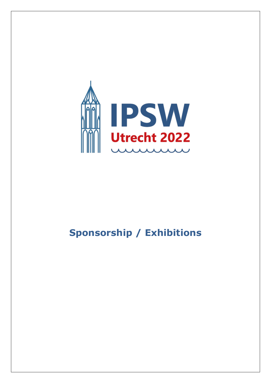

# **Sponsorship / Exhibitions**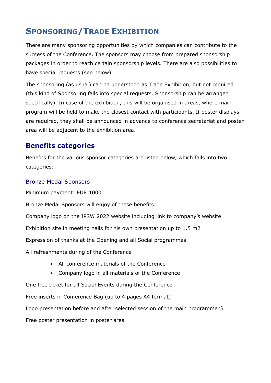# **SPONSORING/TRADE EXHIBITION**

There are many sponsoring opportunities by which companies can contribute to the success of the Conference. The sponsors may choose from prepared sponsorship packages in order to reach certain sponsorship levels. There are also possibilities to have special requests (see below).

The sponsoring (as usual) can be understood as Trade Exhibition, but not required (this kind of Sponsoring falls into special requests. Sponsorship can be arranged specifically). In case of the exhibition, this will be organised in areas, where main program will be held to make the closest contact with participants. If poster displays are required, they shall be announced in advance to conference secretariat and poster area will be adjacent to the exhibition area.

### **Benefits categories**

Benefits for the various sponsor categories are listed below, which falls into two categories:

#### Bronze Medal Sponsors

Minimum payment: EUR 1000

Bronze Medal Sponsors will enjoy of these benefits:

Company logo on the IPSW 2022 website including link to company's website

Exhibition site in meeting halls for his own presentation up to 1.5 m2

Expression of thanks at the Opening and all Social programmes

All refreshments during of the Conference

- All conference materials of the Conference
- Company logo in all materials of the Conference

One free ticket for all Social Events during the Conference

Free inserts in Conference Bag (up to 4 pages A4 format)

Logo presentation before and after selected session of the main programme\*)

Free poster presentation in poster area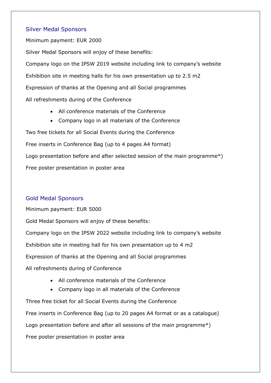#### Silver Medal Sponsors

Minimum payment: EUR 2000 Silver Medal Sponsors will enjoy of these benefits: Company logo on the IPSW 2019 website including link to company's website Exhibition site in meeting halls for his own presentation up to 2.5 m2 Expression of thanks at the Opening and all Social programmes All refreshments during of the Conference

- All conference materials of the Conference
- Company logo in all materials of the Conference

Two free tickets for all Social Events during the Conference Free inserts in Conference Bag (up to 4 pages A4 format) Logo presentation before and after selected session of the main programme\*) Free poster presentation in poster area

#### Gold Medal Sponsors

Minimum payment: EUR 5000 Gold Medal Sponsors will enjoy of these benefits: Company logo on the IPSW 2022 website including link to company's website Exhibition site in meeting hall for his own presentation up to 4 m2 Expression of thanks at the Opening and all Social programmes All refreshments during of Conference

- All conference materials of the Conference
- Company logo in all materials of the Conference

Three free ticket for all Social Events during the Conference Free inserts in Conference Bag (up to 20 pages A4 format or as a catalogue) Logo presentation before and after all sessions of the main programme\*) Free poster presentation in poster area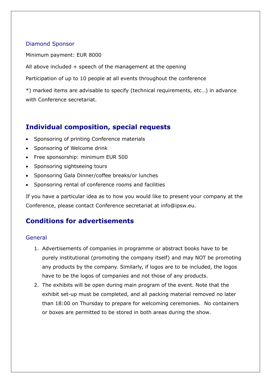#### Diamond Sponsor

Minimum payment: EUR 8000

All above included + speech of the management at the opening

Participation of up to 10 people at all events throughout the conference

\*) marked items are advisable to specify (technical requirements, etc…) in advance with Conference secretariat.

### **Individual composition, special requests**

- Sponsoring of printing Conference materials
- Sponsoring of Welcome drink
- Free sponsorship: minimum EUR 500
- Sponsoring sightseeing tours
- Sponsoring Gala Dinner/coffee breaks/or lunches
- Sponsoring rental of conference rooms and facilities

If you have a particular idea as to how you would like to present your company at the Conference, please contact Conference secretariat at [info@ipsw.eu.](mailto:info@ipsw.eu)

## **Conditions for advertisements**

#### General

- 1. Advertisements of companies in programme or abstract books have to be purely institutional (promoting the company itself) and may NOT be promoting any products by the company. Similarly, if logos are to be included, the logos have to be the logos of companies and not those of any products.
- 2. The exhibits will be open during main program of the event. Note that the exhibit set-up must be completed, and all packing material removed no later than 18:00 on Thursday to prepare for welcoming ceremonies. No containers or boxes are permitted to be stored in both areas during the show.